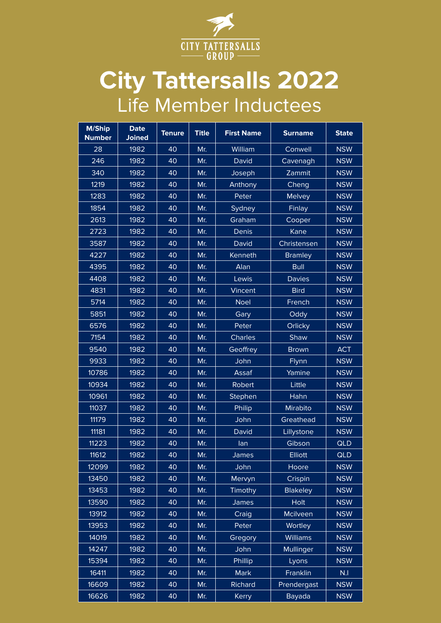

## **City Tattersalls 2022** Life Member Inductees

| M/Ship<br><b>Number</b> | <b>Date</b><br><b>Joined</b> | <b>Tenure</b> | <b>Title</b> | <b>First Name</b> | <b>Surname</b>  | <b>State</b> |
|-------------------------|------------------------------|---------------|--------------|-------------------|-----------------|--------------|
| 28                      | 1982                         | 40            | Mr.          | William           | Conwell         | <b>NSW</b>   |
| 246                     | 1982                         | 40            | Mr.          | David             | Cavenagh        | <b>NSW</b>   |
| 340                     | 1982                         | 40            | Mr.          | Joseph            | Zammit          | <b>NSW</b>   |
| 1219                    | 1982                         | 40            | Mr.          | Anthony           | Cheng           | <b>NSW</b>   |
| 1283                    | 1982                         | 40            | Mr.          | Peter             | <b>Melvey</b>   | <b>NSW</b>   |
| 1854                    | 1982                         | 40            | Mr.          | Sydney            | Finlay          | <b>NSW</b>   |
| 2613                    | 1982                         | 40            | Mr.          | Graham            | Cooper          | <b>NSW</b>   |
| 2723                    | 1982                         | 40            | Mr.          | Denis             | Kane            | <b>NSW</b>   |
| 3587                    | 1982                         | 40            | Mr.          | David             | Christensen     | <b>NSW</b>   |
| 4227                    | 1982                         | 40            | Mr.          | Kenneth           | <b>Bramley</b>  | <b>NSW</b>   |
| 4395                    | 1982                         | 40            | Mr.          | Alan              | <b>Bull</b>     | <b>NSW</b>   |
| 4408                    | 1982                         | 40            | Mr.          | Lewis             | <b>Davies</b>   | <b>NSW</b>   |
| 4831                    | 1982                         | 40            | Mr.          | Vincent           | <b>Bird</b>     | <b>NSW</b>   |
| 5714                    | 1982                         | 40            | Mr.          | <b>Noel</b>       | French          | <b>NSW</b>   |
| 5851                    | 1982                         | 40            | Mr.          | Gary              | Oddy            | <b>NSW</b>   |
| 6576                    | 1982                         | 40            | Mr.          | Peter             | Orlicky         | <b>NSW</b>   |
| 7154                    | 1982                         | 40            | Mr.          | Charles           | Shaw            | <b>NSW</b>   |
| 9540                    | 1982                         | 40            | Mr.          | Geoffrey          | <b>Brown</b>    | <b>ACT</b>   |
| 9933                    | 1982                         | 40            | Mr.          | John              | Flynn           | <b>NSW</b>   |
| 10786                   | 1982                         | 40            | Mr.          | Assaf             | Yamine          | <b>NSW</b>   |
| 10934                   | 1982                         | 40            | Mr.          | Robert            | Little          | <b>NSW</b>   |
| 10961                   | 1982                         | 40            | Mr.          | Stephen           | Hahn            | <b>NSW</b>   |
| 11037                   | 1982                         | 40            | Mr.          | Philip            | Mirabito        | <b>NSW</b>   |
| 11179                   | 1982                         | 40            | Mr.          | John              | Greathead       | <b>NSW</b>   |
| 11181                   | 1982                         | 40            | Mr.          | David             | Lillystone      | <b>NSW</b>   |
| 11223                   | 1982                         | 40            | Mr.          | lan               | Gibson          | <b>QLD</b>   |
| 11612                   | 1982                         | 40            | Mr.          | <b>James</b>      | Elliott         | QLD          |
| 12099                   | 1982                         | 40            | Mr.          | John              | Hoore           | <b>NSW</b>   |
| 13450                   | 1982                         | 40            | Mr.          | Mervyn            | Crispin         | <b>NSW</b>   |
| 13453                   | 1982                         | 40            | Mr.          | Timothy           | <b>Blakeley</b> | <b>NSW</b>   |
| 13590                   | 1982                         | 40            | Mr.          | James             | Holt            | <b>NSW</b>   |
| 13912                   | 1982                         | 40            | Mr.          | Craig             | Mcilveen        | <b>NSW</b>   |
| 13953                   | 1982                         | 40            | Mr.          | Peter             | Wortley         | <b>NSW</b>   |
| 14019                   | 1982                         | 40            | Mr.          | Gregory           | <b>Williams</b> | <b>NSW</b>   |
| 14247                   | 1982                         | 40            | Mr.          | John              | Mullinger       | <b>NSW</b>   |
| 15394                   | 1982                         | 40            | Mr.          | Phillip           | Lyons           | <b>NSW</b>   |
| 16411                   | 1982                         | 40            | Mr.          | <b>Mark</b>       | Franklin        | N.I          |
| 16609                   | 1982                         | 40            | Mr.          | Richard           | Prendergast     | <b>NSW</b>   |
| 16626                   | 1982                         | 40            | Mr.          | Kerry             | <b>Bayada</b>   | <b>NSW</b>   |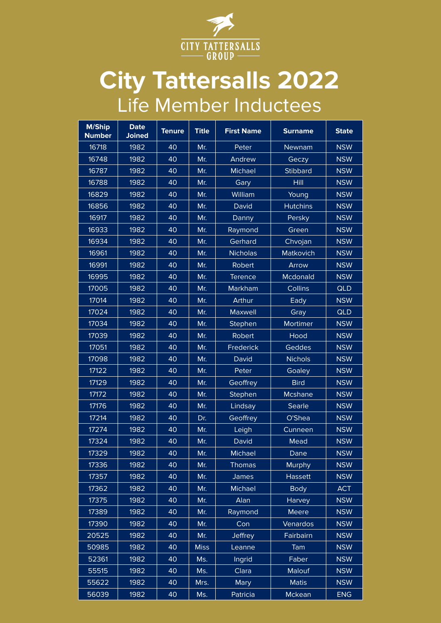

## **City Tattersalls 2022** Life Member Inductees

| <b>M/Ship</b><br><b>Number</b> | <b>Date</b><br><b>Joined</b> | <b>Tenure</b> | <b>Title</b> | <b>First Name</b> | <b>Surname</b>  | <b>State</b> |
|--------------------------------|------------------------------|---------------|--------------|-------------------|-----------------|--------------|
| 16718                          | 1982                         | 40            | Mr.          | Peter             | Newnam          | <b>NSW</b>   |
| 16748                          | 1982                         | 40            | Mr.          | Andrew            | Geczy           | <b>NSW</b>   |
| 16787                          | 1982                         | 40            | Mr.          | Michael           | <b>Stibbard</b> | <b>NSW</b>   |
| 16788                          | 1982                         | 40            | Mr.          | Gary              | Hill            | <b>NSW</b>   |
| 16829                          | 1982                         | 40            | Mr.          | William           | Young           | <b>NSW</b>   |
| 16856                          | 1982                         | 40            | Mr.          | <b>David</b>      | <b>Hutchins</b> | <b>NSW</b>   |
| 16917                          | 1982                         | 40            | Mr.          | Danny             | Persky          | <b>NSW</b>   |
| 16933                          | 1982                         | 40            | Mr.          | Raymond           | Green           | <b>NSW</b>   |
| 16934                          | 1982                         | 40            | Mr.          | Gerhard           | Chvojan         | <b>NSW</b>   |
| 16961                          | 1982                         | 40            | Mr.          | <b>Nicholas</b>   | Matkovich       | <b>NSW</b>   |
| 16991                          | 1982                         | 40            | Mr.          | Robert            | Arrow           | <b>NSW</b>   |
| 16995                          | 1982                         | 40            | Mr.          | <b>Terence</b>    | Mcdonald        | <b>NSW</b>   |
| 17005                          | 1982                         | 40            | Mr.          | Markham           | Collins         | <b>QLD</b>   |
| 17014                          | 1982                         | 40            | Mr.          | <b>Arthur</b>     | <b>Eady</b>     | <b>NSW</b>   |
| 17024                          | 1982                         | 40            | Mr.          | Maxwell           | Gray            | <b>QLD</b>   |
| 17034                          | 1982                         | 40            | Mr.          | Stephen           | Mortimer        | <b>NSW</b>   |
| 17039                          | 1982                         | 40            | Mr.          | Robert            | <b>Hood</b>     | <b>NSW</b>   |
| 17051                          | 1982                         | 40            | Mr.          | Frederick         | Geddes          | <b>NSW</b>   |
| 17098                          | 1982                         | 40            | Mr.          | David             | <b>Nichols</b>  | <b>NSW</b>   |
| 17122                          | 1982                         | 40            | Mr.          | Peter             | Goaley          | <b>NSW</b>   |
| 17129                          | 1982                         | 40            | Mr.          | Geoffrey          | <b>Bird</b>     | <b>NSW</b>   |
| 17172                          | 1982                         | 40            | Mr.          | Stephen           | Mcshane         | <b>NSW</b>   |
| 17176                          | 1982                         | 40            | Mr.          | Lindsay           | Searle          | <b>NSW</b>   |
| 17214                          | 1982                         | 40            | Dr.          | Geoffrey          | O'Shea          | <b>NSW</b>   |
| 17274                          | 1982                         | 40            | Mr.          | Leigh             | Cunneen         | <b>NSW</b>   |
| 17324                          | 1982                         | 40            | Mr.          | <b>David</b>      | Mead            | <b>NSW</b>   |
| 17329                          | 1982                         | 40            | Mr.          | Michael           | Dane            | <b>NSW</b>   |
| 17336                          | 1982                         | 40            | Mr.          | <b>Thomas</b>     | <b>Murphy</b>   | <b>NSW</b>   |
| 17357                          | 1982                         | 40            | Mr.          | James             | <b>Hassett</b>  | <b>NSW</b>   |
| 17362                          | 1982                         | 40            | Mr.          | Michael           | <b>Body</b>     | <b>ACT</b>   |
| 17375                          | 1982                         | 40            | Mr.          | Alan              | Harvey          | <b>NSW</b>   |
| 17389                          | 1982                         | 40            | Mr.          | Raymond           | <b>Meere</b>    | <b>NSW</b>   |
| 17390                          | 1982                         | 40            | Mr.          | Con               | Venardos        | <b>NSW</b>   |
| 20525                          | 1982                         | 40            | Mr.          | Jeffrey           | Fairbairn       | <b>NSW</b>   |
| 50985                          | 1982                         | 40            | <b>Miss</b>  | Leanne            | Tam             | <b>NSW</b>   |
| 52361                          | 1982                         | 40            | Ms.          | Ingrid            | Faber           | <b>NSW</b>   |
| 55515                          | 1982                         | 40            | Ms.          | Clara             | Malouf          | <b>NSW</b>   |
| 55622                          | 1982                         | 40            | Mrs.         | <b>Mary</b>       | <b>Matis</b>    | <b>NSW</b>   |
| 56039                          | 1982                         | 40            | Ms.          | Patricia          | Mckean          | <b>ENG</b>   |